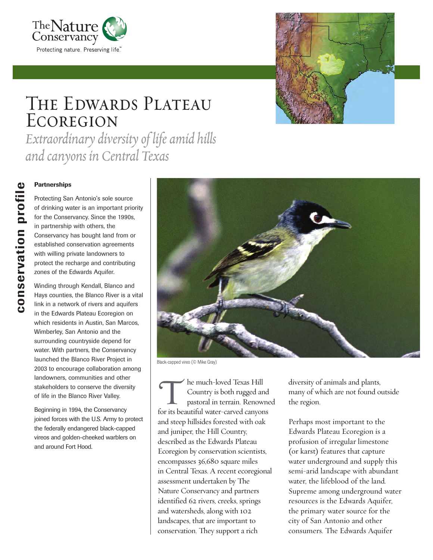



## The Edwards Plateau **ECOREGION**

*Extraordinary diversity of life amid hills and canyons in Central Texas*

**Conservation Profecting Sample 19**<br>
Protecting Sample of drinking was for the Conservancy in partnership<br>
Conservancy in established conservancy in established conservancy<br>
with willing protect the reconservance of the E<br> Protecting San Antonio's sole source of drinking water is an important priority for the Conservancy. Since the 1990s, in partnership with others, the Conservancy has bought land from or established conservation agreements with willing private landowners to protect the recharge and contributing zones of the Edwards Aquifer.

Winding through Kendall, Blanco and Hays counties, the Blanco River is a vital link in a network of rivers and aquifers in the Edwards Plateau Ecoregion on which residents in Austin, San Marcos, Wimberley, San Antonio and the surrounding countryside depend for water. With partners, the Conservancy launched the Blanco River Project in 2003 to encourage collaboration among landowners, communities and other stakeholders to conserve the diversity of life in the Blanco River Valley.

Beginning in 1994, the Conservancy joined forces with the U.S. Army to protect the federally endangered black-capped vireos and golden-cheeked warblers on and around Fort Hood.



Black-capped vireo (© Mike Gray)

he much-loved Texas Hill Country is both rugged and pastoral in terrain. Renowned The much-loved Texas Hill<br>Country is both rugged and<br>pastoral in terrain. Renown<br>for its beautiful water-carved canyons and steep hillsides forested with oak and juniper, the Hill Country, described as the Edwards Plateau Ecoregion by conservation scientists, encompasses 36,680 square miles in Central Texas. A recent ecoregional assessment undertaken by The Nature Conservancy and partners identified 62 rivers, creeks, springs and watersheds, along with 102 landscapes, that are important to conservation. They support a rich

diversity of animals and plants, many of which are not found outside the region.

Perhaps most important to the Edwards Plateau Ecoregion is a profusion of irregular limestone (or karst) features that capture water underground and supply this semi-arid landscape with abundant water, the lifeblood of the land. Supreme among underground water resources is the Edwards Aquifer, the primary water source for the city of San Antonio and other consumers. The Edwards Aquifer